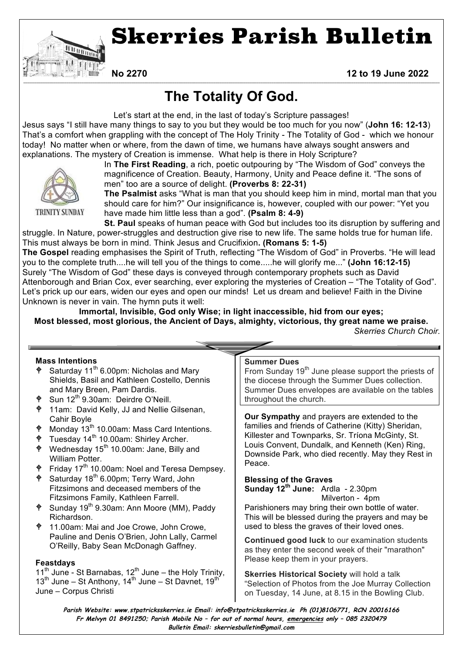

# Skerries Parish Bulletin

**No 2270 12 to 19 June 2022**

## **The Totality Of God.**

Let's start at the end, in the last of today's Scripture passages!

Jesus says "I still have many things to say to you but they would be too much for you now" (**John 16: 12-13**) That's a comfort when grappling with the concept of The Holy Trinity - The Totality of God - which we honour today! No matter when or where, from the dawn of time, we humans have always sought answers and explanations. The mystery of Creation is immense. What help is there in Holy Scripture?



In **The First Reading**, a rich, poetic outpouring by "The Wisdom of God" conveys the magnificence of Creation. Beauty, Harmony, Unity and Peace define it. "The sons of men" too are a source of delight. **(Proverbs 8: 22-31)**

TRINITY SUNDAY

**The Psalmist** asks "What is man that you should keep him in mind, mortal man that you should care for him?" Our insignificance is, however, coupled with our power: "Yet you have made him little less than a god". **(Psalm 8: 4-9)**

**St. Paul** speaks of human peace with God but includes too its disruption by suffering and struggle. In Nature, power-struggles and destruction give rise to new life. The same holds true for human life. This must always be born in mind. Think Jesus and Crucifixion**. (Romans 5: 1-5)**

**The Gospel** reading emphasises the Spirit of Truth, reflecting "The Wisdom of God" in Proverbs. "He will lead you to the complete truth....he will tell you of the things to come.....he will glorify me..." **(John 16:12-15)** Surely "The Wisdom of God" these days is conveyed through contemporary prophets such as David Attenborough and Brian Cox, ever searching, ever exploring the mysteries of Creation – "The Totality of God". Let's prick up our ears, widen our eyes and open our minds! Let us dream and believe! Faith in the Divine Unknown is never in vain. The hymn puts it well:

**Immortal, Invisible, God only Wise; in light inaccessible, hid from our eyes; Most blessed, most glorious, the Ancient of Days, almighty, victorious, thy great name we praise.** *Skerries Church Choir.*

#### **Mass Intentions**

- $\bullet$  Saturday 11<sup>th</sup> 6.00pm: Nicholas and Marv Shields, Basil and Kathleen Costello, Dennis and Mary Breen, Pam Dardis.
- Sun 12<sup>th</sup> 9.30am: Deirdre O'Neill.
- 11am: David Kelly, JJ and Nellie Gilsenan, Cahir Boyle
- Monday 13<sup>th</sup> 10.00am: Mass Card Intentions.
- Tuesday 14<sup>th</sup> 10.00am: Shirley Archer.
- Wednesday  $15<sup>th</sup> 10.00$ am: Jane, Billy and William Potter.
- $\text{\textsterling}$  Friday 17<sup>th</sup> 10.00am: Noel and Teresa Dempsey.
- $\text{\textsterling}$  Saturday 18<sup>th</sup> 6.00pm; Terry Ward, John Fitzsimons and deceased members of the Fitzsimons Family, Kathleen Farrell.
- Sunday 19<sup>th</sup> 9.30am: Ann Moore (MM), Paddy Richardson.
- 11.00am: Mai and Joe Crowe, John Crowe, Pauline and Denis O'Brien, John Lally, Carmel O'Reilly, Baby Sean McDonagh Gaffney.

#### **Feastdays**

 $11^{th}$  June - St Barnabas,  $12^{th}$  June – the Holy Trinity,  $13^{th}$  June – St Anthony,  $14^{th}$  June – St Davnet,  $19^{th}$ June – Corpus Christi

#### **Summer Dues**

From Sunday  $19<sup>th</sup>$  June please support the priests of the diocese through the Summer Dues collection. Summer Dues envelopes are available on the tables throughout the church.

**Our Sympathy** and prayers are extended to the families and friends of Catherine (Kitty) Sheridan, Killester and Townparks, Sr. Tríona McGinty, St. Louis Convent, Dundalk, and Kenneth (Ken) Ring, Downside Park, who died recently. May they Rest in Peace.

### **Blessing of the Graves**

**Sunday 12th June:** Ardla - 2.30pm Milverton - 4pm

Parishioners may bring their own bottle of water. This will be blessed during the prayers and may be used to bless the graves of their loved ones.

**Continued good luck** to our examination students as they enter the second week of their "marathon" Please keep them in your prayers.

**Skerries Historical Society** will hold a talk "Selection of Photos from the Joe Murray Collection on Tuesday, 14 June, at 8.15 in the Bowling Club.

**Parish Website: www.stpatricksskerries.ie Email: info@stpatricksskerries.ie Ph (01)8106771, RCN 20016166 Fr Melvyn 01 8491250; Parish Mobile No – for out of normal hours, emergencies only – 085 2320479 Bulletin Email: skerriesbulletin@gmail.com**